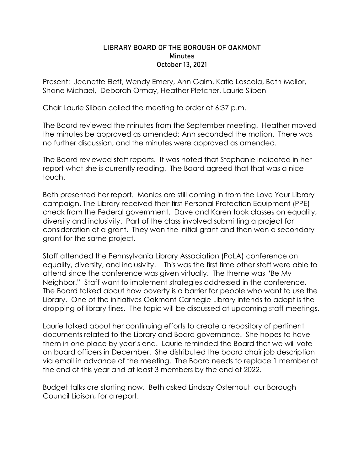## LIBRARY BOARD OF THE BOROUGH OF OAKMONT **Minutes** October 13, 2021

Present: Jeanette Eleff, Wendy Emery, Ann Galm, Katie Lascola, Beth Mellor, Shane Michael, Deborah Ormay, Heather Pletcher, Laurie Sliben

Chair Laurie Sliben called the meeting to order at 6:37 p.m.

The Board reviewed the minutes from the September meeting. Heather moved the minutes be approved as amended; Ann seconded the motion. There was no further discussion, and the minutes were approved as amended.

The Board reviewed staff reports. It was noted that Stephanie indicated in her report what she is currently reading. The Board agreed that that was a nice touch.

Beth presented her report. Monies are still coming in from the Love Your Library campaign. The Library received their first Personal Protection Equipment (PPE) check from the Federal government. Dave and Karen took classes on equality, diversity and inclusivity. Part of the class involved submitting a project for consideration of a grant. They won the initial grant and then won a secondary grant for the same project.

Staff attended the Pennsylvania Library Association (PaLA) conference on equality, diversity, and inclusivity. This was the first time other staff were able to attend since the conference was given virtually. The theme was "Be My Neighbor." Staff want to implement strategies addressed in the conference. The Board talked about how poverty is a barrier for people who want to use the Library. One of the initiatives Oakmont Carnegie Library intends to adopt is the dropping of library fines. The topic will be discussed at upcoming staff meetings.

Laurie talked about her continuing efforts to create a repository of pertinent documents related to the Library and Board governance. She hopes to have them in one place by year's end. Laurie reminded the Board that we will vote on board officers in December. She distributed the board chair job description via email in advance of the meeting. The Board needs to replace 1 member at the end of this year and at least 3 members by the end of 2022.

Budget talks are starting now. Beth asked Lindsay Osterhout, our Borough Council Liaison, for a report.